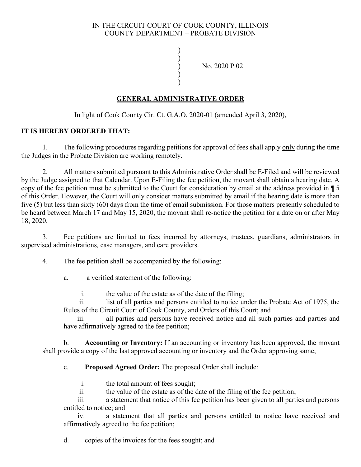## IN THE CIRCUIT COURT OF COOK COUNTY, ILLINOIS COUNTY DEPARTMENT – PROBATE DIVISION

) )

) ) ) No. 2020 P 02

## **GENERAL ADMINISTRATIVE ORDER**

In light of Cook County Cir. Ct. G.A.O. 2020-01 (amended April 3, 2020),

## **IT IS HEREBY ORDERED THAT:**

1. The following procedures regarding petitions for approval of fees shall apply only during the time the Judges in the Probate Division are working remotely.

2. All matters submitted pursuant to this Administrative Order shall be E-Filed and will be reviewed by the Judge assigned to that Calendar. Upon E-Filing the fee petition, the movant shall obtain a hearing date. A copy of the fee petition must be submitted to the Court for consideration by email at the address provided in ¶ 5 of this Order. However, the Court will only consider matters submitted by email if the hearing date is more than five (5) but less than sixty (60) days from the time of email submission. For those matters presently scheduled to be heard between March 17 and May 15, 2020, the movant shall re-notice the petition for a date on or after May 18, 2020.

3. Fee petitions are limited to fees incurred by attorneys, trustees, guardians, administrators in supervised administrations*,* case managers, and care providers.

- 4. The fee petition shall be accompanied by the following:
	- a. a verified statement of the following:
		- i. the value of the estate as of the date of the filing;

ii. list of all parties and persons entitled to notice under the Probate Act of 1975, the Rules of the Circuit Court of Cook County, and Orders of this Court; and

iii. all parties and persons have received notice and all such parties and parties and have affirmatively agreed to the fee petition;

b. **Accounting or Inventory:** If an accounting or inventory has been approved, the movant shall provide a copy of the last approved accounting or inventory and the Order approving same;

c. **Proposed Agreed Order:** The proposed Order shall include:

- i. the total amount of fees sought;
- ii. the value of the estate as of the date of the filing of the fee petition;

iii. a statement that notice of this fee petition has been given to all parties and persons entitled to notice; and

iv. a statement that all parties and persons entitled to notice have received and affirmatively agreed to the fee petition;

d. copies of the invoices for the fees sought; and